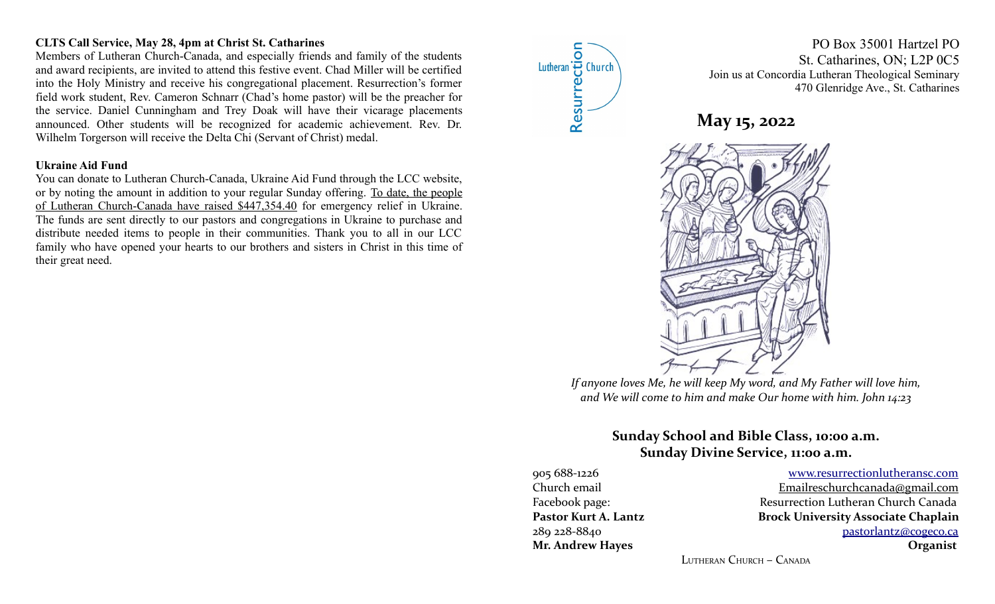## **CLTS Call Service, May 28, 4pm at Christ St. Catharines**

Members of Lutheran Church-Canada, and especially friends and family of the students and award recipients, are invited to attend this festive event. Chad Miller will be certified into the Holy Ministry and receive his congregational placement. Resurrection's former field work student, Rev. Cameron Schnarr (Chad's home pastor) will be the preacher for the service. Daniel Cunningham and Trey Doak will have their vicarage placements announced. Other students will be recognized for academic achievement. Rev. Dr. Wilhelm Torgerson will receive the Delta Chi (Servant of Christ) medal.

#### **Ukraine Aid Fund**

You can donate to Lutheran Church-Canada, Ukraine Aid Fund through the LCC website, or by noting the amount in addition to your regular Sunday offering. To date, the people of Lutheran Church-Canada have raised \$447,354.40 for emergency relief in Ukraine. The funds are sent directly to our pastors and congregations in Ukraine to purchase and distribute needed items to people in their communities. Thank you to all in our LCC family who have opened your hearts to our brothers and sisters in Christ in this time of their great need.



PO Box 35001 Hartzel PO St. Catharines, ON; L2P 0C5 Join us at Concordia Lutheran Theological Seminary 470 Glenridge Ave., St. Catharines





*If anyone loves Me, he will keep My word, and My Father will love him, and We will come to him and make Our home with him. John 14:23*

# **Sunday School and Bible Class, 10:00 a.m. Sunday Divine Service, 11:00 a.m.**

**Mr. Andrew Hayes Organist**

905 688-1226 [www.resurrectionl utherans c.c om](http://www.resurrectionlc.ca/) Church email Emailreschur chcanada@gmail.com Facebook page: Resurrection Lutheran Church Canada Pastor Kurt A. Lantz **Brock University Associate Chaplain** 289 228-8840 [pastorlantz@cogeco.ca](mailto:pastorlantz@cogeco.ca)

LUTHERAN CHURCH – CANADA